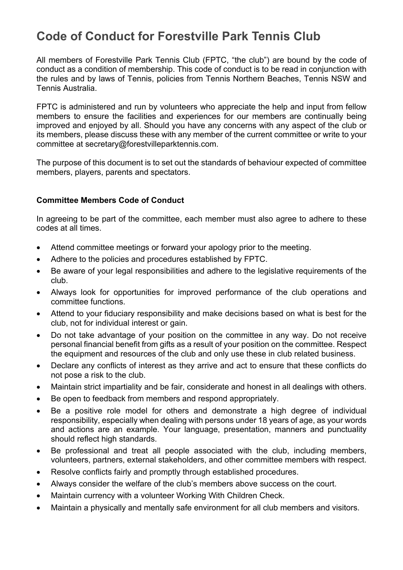## **Code of Conduct for Forestville Park Tennis Club**

All members of Forestville Park Tennis Club (FPTC, "the club") are bound by the code of conduct as a condition of membership. This code of conduct is to be read in conjunction with the rules and by laws of Tennis, policies from Tennis Northern Beaches, Tennis NSW and Tennis Australia.

FPTC is administered and run by volunteers who appreciate the help and input from fellow members to ensure the facilities and experiences for our members are continually being improved and enjoyed by all. Should you have any concerns with any aspect of the club or its members, please discuss these with any member of the current committee or write to your committee at secretary@forestvilleparktennis.com.

The purpose of this document is to set out the standards of behaviour expected of committee members, players, parents and spectators.

## **Committee Members Code of Conduct**

In agreeing to be part of the committee, each member must also agree to adhere to these codes at all times.

- Attend committee meetings or forward your apology prior to the meeting.
- Adhere to the policies and procedures established by FPTC.
- Be aware of your legal responsibilities and adhere to the legislative requirements of the club.
- Always look for opportunities for improved performance of the club operations and committee functions.
- Attend to your fiduciary responsibility and make decisions based on what is best for the club, not for individual interest or gain.
- Do not take advantage of your position on the committee in any way. Do not receive personal financial benefit from gifts as a result of your position on the committee. Respect the equipment and resources of the club and only use these in club related business.
- Declare any conflicts of interest as they arrive and act to ensure that these conflicts do not pose a risk to the club.
- Maintain strict impartiality and be fair, considerate and honest in all dealings with others.
- Be open to feedback from members and respond appropriately.
- Be a positive role model for others and demonstrate a high degree of individual responsibility, especially when dealing with persons under 18 years of age, as your words and actions are an example. Your language, presentation, manners and punctuality should reflect high standards.
- Be professional and treat all people associated with the club, including members, volunteers, partners, external stakeholders, and other committee members with respect.
- Resolve conflicts fairly and promptly through established procedures.
- Always consider the welfare of the club's members above success on the court.
- Maintain currency with a volunteer Working With Children Check.
- Maintain a physically and mentally safe environment for all club members and visitors.